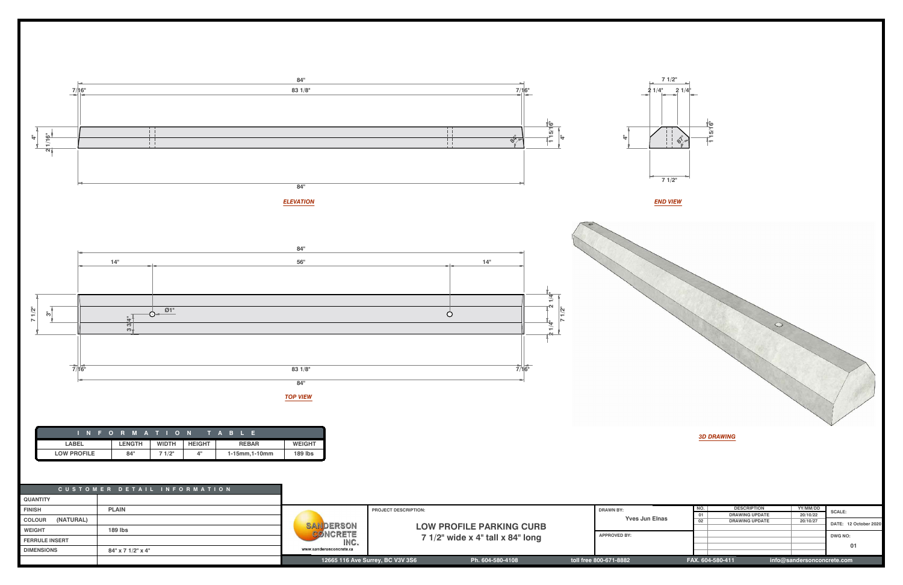|                                                      | <b>PROJECT DESCRIPTION:</b> |                                     |  | <b>DRAWN BY:</b><br><b>Yves Jun Elnas</b> |                                                | <b>DESCRIPTION</b>    | YY/MM/DD | <b>SCALE:</b>         |  |
|------------------------------------------------------|-----------------------------|-------------------------------------|--|-------------------------------------------|------------------------------------------------|-----------------------|----------|-----------------------|--|
| DERSON<br><b>NCRETE</b>                              |                             |                                     |  |                                           |                                                | <b>DRAWING UPDATE</b> | 20/10/22 | DATE: 12 October 2020 |  |
|                                                      |                             |                                     |  |                                           |                                                | <b>DRAWING UPDATE</b> | 20/10/27 |                       |  |
|                                                      |                             | <b>LOW PROFILE PARKING CURB</b>     |  |                                           |                                                |                       |          |                       |  |
|                                                      |                             | 7 $1/2$ " wide x 4" tall x 84" long |  | <b>APPROVED BY:</b>                       |                                                |                       |          | DWG NO:               |  |
| INC.                                                 |                             |                                     |  |                                           |                                                |                       |          |                       |  |
| eronconcrete.ca                                      |                             |                                     |  |                                           |                                                |                       | 01       |                       |  |
|                                                      |                             |                                     |  |                                           |                                                |                       |          |                       |  |
| 12665 116 Ave Surrey, BC V3V 3S6<br>Ph. 604-580-4108 |                             |                                     |  | toll free 800-671-8882                    | FAX. 604-580-411<br>info@sandersonconcrete.com |                       |          |                       |  |



**FERRULE INS<br>DIMENSIONS** 

**84" x 7 1/2" x 4"**